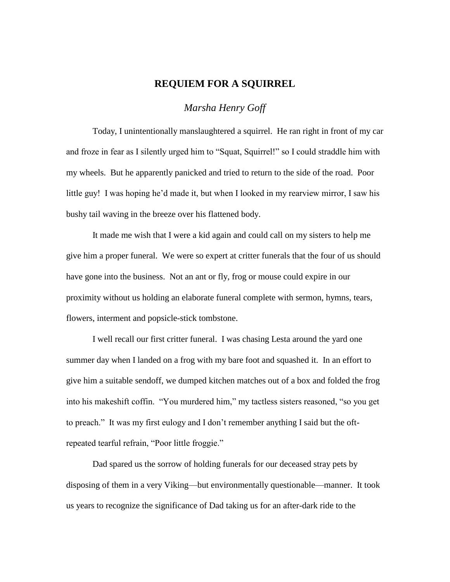## **REQUIEM FOR A SQUIRREL**

*Marsha Henry Goff*

Today, I unintentionally manslaughtered a squirrel. He ran right in front of my car and froze in fear as I silently urged him to "Squat, Squirrel!" so I could straddle him with my wheels. But he apparently panicked and tried to return to the side of the road. Poor little guy! I was hoping he'd made it, but when I looked in my rearview mirror, I saw his bushy tail waving in the breeze over his flattened body.

It made me wish that I were a kid again and could call on my sisters to help me give him a proper funeral. We were so expert at critter funerals that the four of us should have gone into the business. Not an ant or fly, frog or mouse could expire in our proximity without us holding an elaborate funeral complete with sermon, hymns, tears, flowers, interment and popsicle-stick tombstone.

I well recall our first critter funeral. I was chasing Lesta around the yard one summer day when I landed on a frog with my bare foot and squashed it. In an effort to give him a suitable sendoff, we dumped kitchen matches out of a box and folded the frog into his makeshift coffin. "You murdered him," my tactless sisters reasoned, "so you get to preach." It was my first eulogy and I don't remember anything I said but the oftrepeated tearful refrain, "Poor little froggie."

Dad spared us the sorrow of holding funerals for our deceased stray pets by disposing of them in a very Viking—but environmentally questionable—manner. It took us years to recognize the significance of Dad taking us for an after-dark ride to the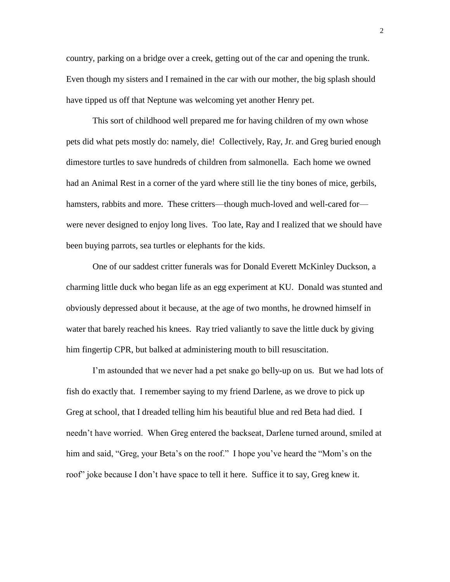country, parking on a bridge over a creek, getting out of the car and opening the trunk. Even though my sisters and I remained in the car with our mother, the big splash should have tipped us off that Neptune was welcoming yet another Henry pet.

This sort of childhood well prepared me for having children of my own whose pets did what pets mostly do: namely, die! Collectively, Ray, Jr. and Greg buried enough dimestore turtles to save hundreds of children from salmonella. Each home we owned had an Animal Rest in a corner of the yard where still lie the tiny bones of mice, gerbils, hamsters, rabbits and more. These critters—though much-loved and well-cared for were never designed to enjoy long lives. Too late, Ray and I realized that we should have been buying parrots, sea turtles or elephants for the kids.

One of our saddest critter funerals was for Donald Everett McKinley Duckson, a charming little duck who began life as an egg experiment at KU. Donald was stunted and obviously depressed about it because, at the age of two months, he drowned himself in water that barely reached his knees. Ray tried valiantly to save the little duck by giving him fingertip CPR, but balked at administering mouth to bill resuscitation.

I'm astounded that we never had a pet snake go belly-up on us. But we had lots of fish do exactly that. I remember saying to my friend Darlene, as we drove to pick up Greg at school, that I dreaded telling him his beautiful blue and red Beta had died. I needn't have worried. When Greg entered the backseat, Darlene turned around, smiled at him and said, "Greg, your Beta's on the roof." I hope you've heard the "Mom's on the roof" joke because I don't have space to tell it here. Suffice it to say, Greg knew it.